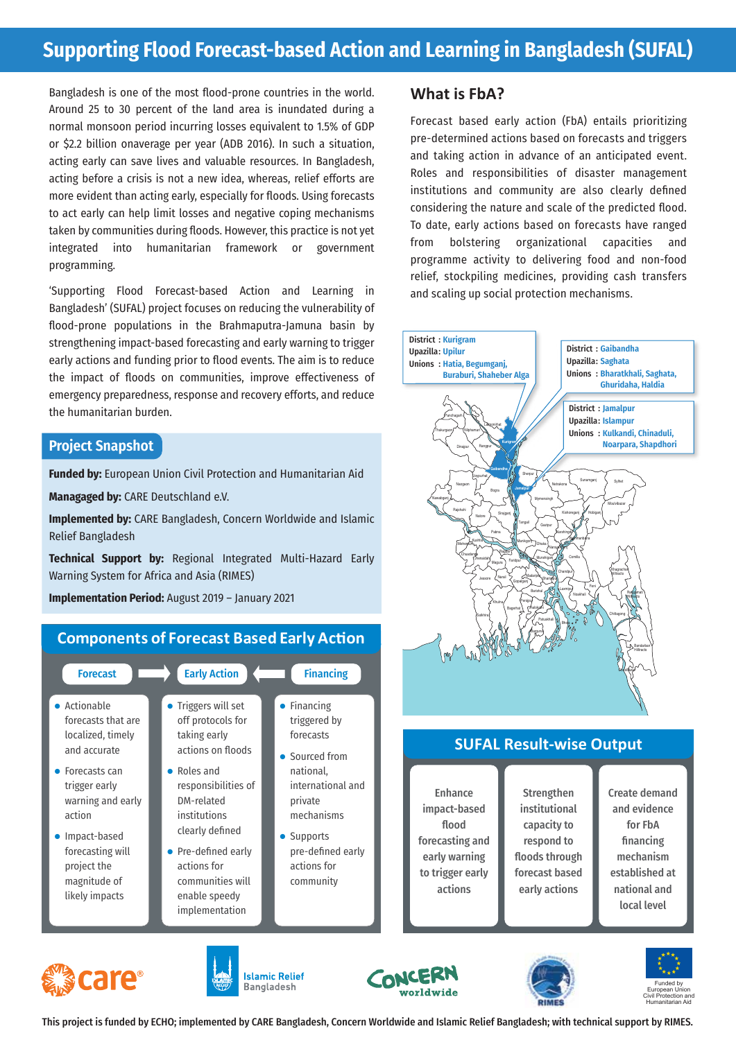# **Supporting Flood Forecast-based Action and Learning in Bangladesh (SUFAL)**

Bangladesh is one of the most flood-prone countries in the world. Around 25 to 30 percent of the land area is inundated during a normal monsoon period incurring losses equivalent to 1.5% of GDP or \$2.2 billion onaverage per year (ADB 2016). In such a situation, acting early can save lives and valuable resources. In Bangladesh, acting before a crisis is not a new idea, whereas, relief efforts are more evident than acting early, especially for floods. Using forecasts to act early can help limit losses and negative coping mechanisms taken by communities during floods. However, this practice is not yet integrated into humanitarian framework or government programming.

'Supporting Flood Forecast-based Action and Learning in Bangladesh' (SUFAL) project focuses on reducing the vulnerability of flood-prone populations in the Brahmaputra-Jamuna basin by strengthening impact-based forecasting and early warning to trigger early actions and funding prior to flood events. The aim is to reduce the impact of floods on communities, improve effectiveness of emergency preparedness, response and recovery efforts, and reduce the humanitarian burden.

#### **Project Snapshot**

**Funded by:** European Union Civil Protection and Humanitarian Aid

**Managaged by:** CARE Deutschland e.V.

**Implemented by:** CARE Bangladesh, Concern Worldwide and Islamic Relief Bangladesh

**Technical Support by:** Regional Integrated Multi-Hazard Early Warning System for Africa and Asia (RIMES)

**Implementation Period:** August 2019 – January 2021

## **Components of Forecast Based Early Action**

| <b>Forecast</b>    | <b>Early Action</b> | <b>Financing</b>  |
|--------------------|---------------------|-------------------|
| • Actionable       | Triggers will set   | Financing         |
| forecasts that are | off protocols for   | triggered by      |
| localized, timely  | taking early        | forecasts         |
| and accurate       | actions on floods   | • Sourced from    |
| Forecasts can      | Roles and           | national.         |
| trigger early      | responsibilities of | international and |
| warning and early  | DM-related          | private           |
| action             | institutions        | mechanisms        |
| Impact-based       | clearly defined     | Supports          |
| forecasting will   | Pre-defined early   | pre-defined early |
| project the        | actions for         | actions for       |
| magnitude of       | communities will    | community         |
| likely impacts     | enable speedy       |                   |
|                    | implementation      |                   |

### **What is FbA?**

Forecast based early action (FbA) entails prioritizing pre-determined actions based on forecasts and triggers and taking action in advance of an anticipated event. Roles and responsibilities of disaster management institutions and community are also clearly defined considering the nature and scale of the predicted flood. To date, early actions based on forecasts have ranged from bolstering organizational capacities programme activity to delivering food and non-food relief, stockpiling medicines, providing cash transfers and scaling up social protection mechanisms.



### **SUFAL Result-wise Output**

Enhance impact-based flood forecasting and early warning to trigger early actions

**Strengthen** institutional capacity to respond to floods through forecast based early actions













This project is funded by ECHO; implemented by CARE Bangladesh, Concern Worldwide and Islamic Relief Bangladesh; with technical support by RIMES.